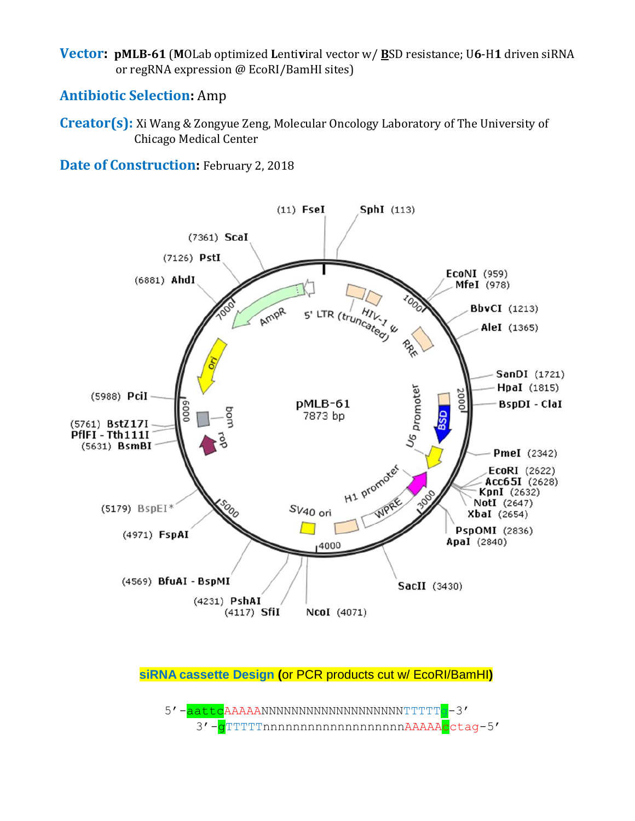**Vector: pMLB-61** (**M**OLab optimized **L**enti**v**iral vector w/ **B**SD resistance; U**6**-H**1** driven siRNA or regRNA expression @ EcoRI/BamHI sites)

## **Antibiotic Selection:** Amp

**Creator(s):** Xi Wang & Zongyue Zeng, Molecular Oncology Laboratory of The University of Chicago Medical Center

**Date of Construction:** February 2, 2018



**siRNA cassette Design (**or PCR products cut w/ EcoRI/BamHI**)**

5'-aattcAAAAANNNNNNNNNNNNNNNNNNNNNTTTTTG-3' 3'-gTTTTTnnnnnnnnnnnnnnnnnnnAAAAAcctag-5'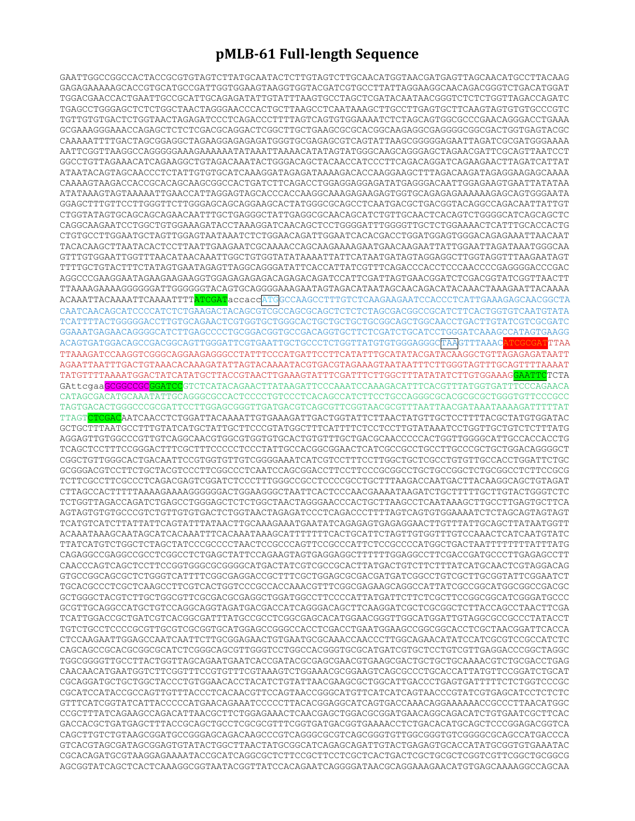## **pMLB-61 Full-length Sequence**

GAATTGGCCGGCCACTACCGCGTGTAGTCTTATGCAATACTCTTGTAGTCTTGCAACATGGTAACGATGAGTTAGCAACATGCCTTACAAG GAGAGAAAAAGCACCGTGCATGCCGATTGGTGGAAGTAAGGTGGTACGATCGTGCCTTATTAGGAAGGCAACAGACGGGTCTGACATGGAT TGGACGAACCACTGAATTGCCGCATTGCAGAGATATTGTATTTAAGTGCCTAGCTCGATACAATAACGGGTCTCTCTGGTTAGACCAGATC TGAGCCTGGGAGCTCTCTGGCTAACTAGGGAACCCACTGCTTAAGCCTCAATAAAGCTTGCCTTGAGTGCTTCAAGTAGTGTGTGCCCGTC TGTTGTGTGACTCTGGTAACTAGAGATCCCTCAGACCCTTTTAGTCAGTGTGGAAAATCTCTAGCAGTGGCGCCCGAACAGGGACCTGAAA GCGAAAGGGAAACCAGAGCTCTCTCGACGCAGGACTCGGCTTGCTGAAGCGCGCACGGCAAGAGGCGAGGGGCGGCGACTGGTGAGTACGC CAAAAATTTTGACTAGCGGAGGCTAGAAGGAGAGAGATGGGTGCGAGAGCGTCAGTATTAAGCGGGGGAGAATTAGATCGCGATGGGAAAA AATTCGGTTAAGGCCAGGGGGAAAGAAAAAATATAAATTAAAACATATAGTATGGGCAAGCAGGGAGCTAGAACGATTCGCAGTTAATCCT GGCCTGTTAGAAACATCAGAAGGCTGTAGACAAATACTGGGACAGCTACAACCATCCCTTCAGACAGGATCAGAAGAACTTAGATCATTAT ATAATACAGTAGCAACCCTCTATTGTGTGCATCAAAGGATAGAGATAAAAGACACCAAGGAAGCTTTAGACAAGATAGAGGAAGAGCAAAA CAAAAGTAAGACCACCGCACAGCAAGCGGCCACTGATCTTCAGACCTGGAGGAGGAGATATGAGGGACAATTGGAGAAGTGAATTATATAA ATATAAAGTAGTAAAAATTGAACCATTAGGAGTAGCACCCACCAAGGCAAAGAGAAGAGTGGTGCAGAGAGAAAAAAGAGCAGTGGGAATA GGAGCTTTGTTCCTTGGGTTCTTGGGAGCAGCAGGAAGCACTATGGGCGCAGCCTCAATGACGCTGACGGTACAGGCCAGACAATTATTGT CTGGTATAGTGCAGCAGCAGAACAATTTGCTGAGGGCTATTGAGGCGCAACAGCATCTGTTGCAACTCACAGTCTGGGGCATCAGCAGCTC CAGGCAAGAATCCTGGCTGTGGAAAGATACCTAAAGGATCAACAGCTCCTGGGGATTTGGGGTTGCTCTGGAAAACTCATTTGCACCACTG CTGTGCCTTGGAATGCTAGTTGGAGTAATAAATCTCTGGAACAGATTGGAATCACACGACCTGGATGGAGTGGGACAGAGAAATTAACAAT TACACAAGCTTAATACACTCCTTAATTGAAGAATCGCAAAACCAGCAAGAAAAGAATGAACAAGAATTATTGGAATTAGATAAATGGGCAA GTTTGTGGAATTGGTTTAACATAACAAATTGGCTGTGGTATATAAAATTATTCATAATGATAGTAGGAGGCTTGGTAGGTTTAAGAATAGT TTTTGCTGTACTTTCTATAGTGAATAGAGTTAGGCAGGGATATTCACCATTATCGTTTCAGACCCACCTCCCAACCCCGAGGGGACCCGAC AGGCCCGAAGGAATAGAAGAAGAAGGTGGAGAGAGAGACAGAGACAGATCCATTCGATTAGTGAACGGATCTCGACGGTATCGGTTAACTT TTAAAAGAAAAGGGGGGATTGGGGGGTACAGTGCAGGGGAAAGAATAGTAGACATAATAGCAACAGACATACAAACTAAAGAATTACAAAA ACAAATTACAAAATTCAAAATTTTATCGATaccaccATGGCCAAGCCTTTGTCTCAAGAAGAATCCACCCTCATTGAAAGAGCAACGGCTA CAATCAACAGCATCCCCATCTCTGAAGACTACAGCGTCGCCAGCGCAGCTCTCTCTAGCGACGGCCGCATCTTCACTGGTGTCAATGTATA TCATTTTACTGGGGGACCTTGTGCAGAACTCGTGGTGCTGGGCACTGCTGCTGCTGCGGCAGCTGGCAACCTGACTTGTATCGTCGCGATC GGAAATGAGAACAGGGGCATCTTGAGCCCCTGCGGACGGTGCCGACAGGTGCTTCTCGATCTGCATCCTGGGATCAAAGCCATAGTGAAGG ACAGTGATGGACAGCCGACGGCAGTTGGGATTCGTGAATTGCTGCCCTCTGGTTATGTGTGGGAGGGCTAAGTTTAAACATCGCGATTTAA TTAAAGATCCAAGGTCGGGCAGGAAGAGGGCCTATTTCCCATGATTCCTTCATATTTGCATATACGATACAAGGCTGTTAGAGAGATAATT AGAATTAATTTGACTGTAAACACAAAGATATTAGTACAAAATACGTGACGTAGAAAGTAATAATTTCTTGGGTAGTTTGCAGTTTTAAAAT TATGTTTTAAAATGGACTATCATATGCTTACCGTAACTTGAAAGTATTTCGATTTCTTGGCTTTATATATCTTGTGGAAAGGAATTCTCTA GAttcgaaGCGGCCGCGGATCCGTCTCATACAGAACTTATAAGATTCCCAAATCCAAAGACATTTCACGTTTATGGTGATTTCCCAGAACA CATAGCGACATGCAAATATTGCAGGGCGCCACTCCCCTGTCCCTCACAGCCATCTTCCTGCCAGGGCGCACGCGCGCTGGGTGTTCCCGCC TAGTGACACTGGGCCCGCGATTCCTTGGAGCGGGTTGATGACGTCAGCGTTCGGTAACGCGTTTAATTAACGATAAATAAAAGATTTTTAT TTAGTCTCGACAATCAACCTCTGGATTACAAAATTGTGAAAGATTGACTGGTATTCTTAACTATGTTGCTCCTTTTACGCTATGTGGATAC GCTGCTTTAATGCCTTTGTATCATGCTATTGCTTCCCGTATGGCTTTCATTTTCTCCTCCTTGTATAAATCCTGGTTGCTGTCTCTTTATG AGGAGTTGTGGCCCGTTGTCAGGCAACGTGGCGTGGTGTGCACTGTGTTTGCTGACGCAACCCCCACTGGTTGGGGCATTGCCACCACCTG TCAGCTCCTTTCCGGGACTTTCGCTTTCCCCCTCCCTATTGCCACGGCGGAACTCATCGCCGCCTGCCTTGCCCGCTGCTGGACAGGGGCT CGGCTGTTGGGCACTGACAATTCCGTGGTGTTGTCGGGGAAATCATCGTCCTTTCCTTGGCTGCTCGCCTGTGTTGCCACCTGGATTCTGC GCGGGACGTCCTTCTGCTACGTCCCTTCGGCCCTCAATCCAGCGGACCTTCCTTCCCGCGGCCTGCTGCCGGCTCTGCGGCCTCTTCCGCG TCTTCGCCTTCGCCCTCAGACGAGTCGGATCTCCCTTTGGGCCGCCTCCCCGCCTGCTTTAAGACCAATGACTTACAAGGCAGCTGTAGAT CTTAGCCACTTTTTAAAAGAAAAGGGGGGACTGGAAGGGCTAATTCACTCCCAACGAAAATAAGATCTGCTTTTTGCTTGTACTGGGTCTC TCTGGTTAGACCAGATCTGAGCCTGGGAGCTCTCTGGCTAACTAGGGAACCCACTGCTTAAGCCTCAATAAAGCTTGCCTTGAGTGCTTCA AGTAGTGTGTGCCCGTCTGTTGTGTGACTCTGGTAACTAGAGATCCCTCAGACCCTTTTAGTCAGTGTGGAAAATCTCTAGCAGTAGTAGT TCATGTCATCTTATTATTCAGTATTTATAACTTGCAAAGAAATGAATATCAGAGAGTGAGAGGAACTTGTTTATTGCAGCTTATAATGGTT ACAAATAAAGCAATAGCATCACAAATTTCACAAATAAAGCATTTTTTTCACTGCATTCTAGTTGTGGTTTGTCCAAACTCATCAATGTATC TTATCATGTCTGGCTCTAGCTATCCCGCCCCTAACTCCGCCCAGTTCCGCCCATTCTCCGCCCCATGGCTGACTAATTTTTTTTATTTATG CAGAGGCCGAGGCCGCCTCGGCCTCTGAGCTATTCCAGAAGTAGTGAGGAGGCTTTTTTGGAGGCCTTCGACCGATGCCCTTGAGAGCCTT CAACCCAGTCAGCTCCTTCCGGTGGGCGCGGGGCATGACTATCGTCGCCGCACTTATGACTGTCTTCTTTATCATGCAACTCGTAGGACAG GTGCCGGCAGCGCTCTGGGTCATTTTCGGCGAGGACCGCTTTCGCTGGAGCGCGACGATGATCGGCCTGTCGCTTGCGGTATTCGGAATCT TGCACGCCCTCGCTCAAGCCTTCGTCACTGGTCCCGCCACCAAACGTTTCGGCGAGAAGCAGGCCATTATCGCCGGCATGGCGGCCGACGC GCTGGGCTACGTCTTGCTGGCGTTCGCGACGCGAGGCTGGATGGCCTTCCCCATTATGATTCTTCTCGCTTCCGGCGGCATCGGGATGCCC GCGTTGCAGGCCATGCTGTCCAGGCAGGTAGATGACGACCATCAGGGACAGCTTCAAGGATCGCTCGCGGCTCTTACCAGCCTAACTTCGA TCATTGGACCGCTGATCGTCACGGCGATTTATGCCGCCTCGGCGAGCACATGGAACGGGTTGGCATGGATTGTAGGCGCCGCCCTATACCT TGTCTGCCTCCCCGCGTTGCGTCGCGGTGCATGGAGCCGGGCCACCTCGACCTGAATGGAAGCCGGCGGCACCTCGCTAACGGATTCACCA CTCCAAGAATTGGAGCCAATCAATTCTTGCGGAGAACTGTGAATGCGCAAACCAACCCTTGGCAGAACATATCCATCGCGTCCGCCATCTC CAGCAGCCGCACGCGGCGCATCTCGGGCAGCGTTGGGTCCTGGCCACGGGTGCGCATGATCGTGCTCCTGTCGTTGAGGACCCGGCTAGGC TGGCGGGGTTGCCTTACTGGTTAGCAGAATGAATCACCGATACGCGAGCGAACGTGAAGCGACTGCTGCTGCAAAACGTCTGCGACCTGAG CAACAACATGAATGGTCTTCGGTTTCCGTGTTTCGTAAAGTCTGGAAACGCGGAAGTCAGCGCCCTGCACCATTATGTTCCGGATCTGCAT CGCAGGATGCTGCTGGCTACCCTGTGGAACACCTACATCTGTATTAACGAAGCGCTGGCATTGACCCTGAGTGATTTTTCTCTGGTCCCGC CGCATCCATACCGCCAGTTGTTTACCCTCACAACGTTCCAGTAACCGGGCATGTTCATCATCAGTAACCCGTATCGTGAGCATCCTCTCTC GTTTCATCGGTATCATTACCCCCATGAACAGAAATCCCCCTTACACGGAGGCATCAGTGACCAAACAGGAAAAAACCGCCCTTAACATGGC CCGCTTTATCAGAAGCCAGACATTAACGCTTCTGGAGAAACTCAACGAGCTGGACGCGGATGAACAGGCAGACATCTGTGAATCGCTTCAC GACCACGCTGATGAGCTTTACCGCAGCTGCCTCGCGCGTTTCGGTGATGACGGTGAAAACCTCTGACACATGCAGCTCCCGGAGACGGTCA CAGCTTGTCTGTAAGCGGATGCCGGGAGCAGACAAGCCCGTCAGGGCGCGTCAGCGGGTGTTGGCGGGTGTCGGGGCGCAGCCATGACCCA GTCACGTAGCGATAGCGGAGTGTATACTGGCTTAACTATGCGGCATCAGAGCAGATTGTACTGAGAGTGCACCATATGCGGTGTGAAATAC CGCACAGATGCGTAAGGAGAAAATACCGCATCAGGCGCTCTTCCGCTTCCTCGCTCACTGACTCGCTGCGCTCGGTCGTTCGGCTGCGGCG AGCGGTATCAGCTCACTCAAAGGCGGTAATACGGTTATCCACAGAATCAGGGGATAACGCAGGAAAGAACATGTGAGCAAAAGGCCAGCAA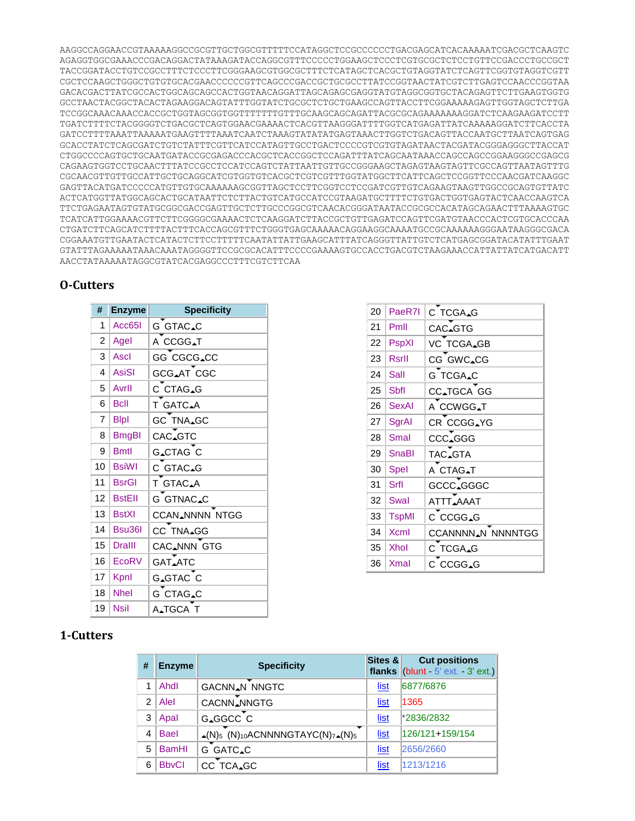AAGGCCAGGAACCGTAAAAAGGCCGCGTTGCTGGCGTTTTTCCATAGGCTCCGCCCCCCTGACGAGCATCACAAAAATCGACGCTCAAGTC AGAGGTGGCGAAACCCGACAGGACTATAAAGATACCAGGCGTTTCCCCCTGGAAGCTCCCTCGTGCGCTCTCCTGTTCCGACCCTGCCGCT TACCGGATACCTGTCCGCCTTTCTCCCTTCGGGAAGCGTGGCGCTTTCTCATAGCTCACGCTGTAGGTATCTCAGTTCGGTGTAGGTCGTT CGCTCCAAGCTGGGCTGTGTGCACGAACCCCCCGTTCAGCCCGACCGCTGCGCCTTATCCGGTAACTATCGTCTTGAGTCCAACCCGGTAA GACACGACTTATCGCCACTGGCAGCAGCCACTGGTAACAGGATTAGCAGAGCGAGGTATGTAGGCGGTGCTACAGAGTTCTTGAAGTGGTG GCCTAACTACGGCTACACTAGAAGGACAGTATTTGGTATCTGCGCTCTGCTGAAGCCAGTTACCTTCGGAAAAAGAGTTGGTAGCTCTTGA TCCGGCAAACAAACCACCGCTGGTAGCGGTGGTTTTTTTGTTTGCAAGCAGCAGATTACGCGCAGAAAAAAAGGATCTCAAGAAGATCCTT TGATCTTTTCTACGGGGTCTGACGCTCAGTGGAACGAAAACTCACGTTAAGGGATTTTGGTCATGAGATTATCAAAAAGGATCTTCACCTA GATCCTTTTAAATTAAAAATGAAGTTTTAAATCAATCTAAAGTATATATGAGTAAACTTGGTCTGACAGTTACCAATGCTTAATCAGTGAG GCACCTATCTCAGCGATCTGTCTATTTCGTTCATCCATAGTTGCCTGACTCCCCGTCGTGTAGATAACTACGATACGGGAGGGCTTACCAT CTGGCCCCAGTGCTGCAATGATACCGCGAGACCCACGCTCACCGGCTCCAGATTTATCAGCAATAAACCAGCCAGCCGGAAGGGCCGAGCG CAGAAGTGGTCCTGCAACTTTATCCGCCTCCATCCAGTCTATTAATTGTTGCCGGGAAGCTAGAGTAAGTAGTTCGCCAGTTAATAGTTTG CGCAACGTTGTTGCCATTGCTGCAGGCATCGTGGTGTCACGCTCGTCGTTTGGTATGGCTTCATTCAGCTCCGGTTCCCAACGATCAAGGC GAGTTACATGATCCCCCATGTTGTGCAAAAAAGCGGTTAGCTCCTTCGGTCCTCCGATCGTTGTCAGAAGTAAGTTGGCCGCAGTGTTATC ACTCATGGTTATGGCAGCACTGCATAATTCTCTTACTGTCATGCCATCCGTAAGATGCTTTTCTGTGACTGGTGAGTACTCAACCAAGTCA TTCTGAGAATAGTGTATGCGGCGACCGAGTTGCTCTTGCCCGGCGTCAACACGGGATAATACCGCGCCACATAGCAGAACTTTAAAAGTGC TCATCATTGGAAAACGTTCTTCGGGGCGAAAACTCTCAAGGATCTTACCGCTGTTGAGATCCAGTTCGATGTAACCCACTCGTGCACCCAA CTGATCTTCAGCATCTTTTACTTTCACCAGCGTTTCTGGGTGAGCAAAAACAGGAAGGCAAAATGCCGCAAAAAAGGGAATAAGGGCGACA CGGAAATGTTGAATACTCATACTCTTCCTTTTTCAATATTATTGAAGCATTTATCAGGGTTATTGTCTCATGAGCGGATACATATTTGAAT GTATTTAGAAAAATAAACAAATAGGGGTTCCGCGCACATTTCCCCGAAAAGTGCCACCTGACGTCTAAGAAACCATTATTATCATGACATT AACCTATAAAAATAGGCGTATCACGAGGCCCTTTCGTCTTCAA

## **O-Cutters**

| #              | <b>Enzyme</b> | <b>Specificity</b>    |  |  |
|----------------|---------------|-----------------------|--|--|
| 1              | Acc65I        | G GTAC.C              |  |  |
| $\overline{2}$ | Agel          | A CCGG <sub>AT</sub>  |  |  |
| 3              | Ascl          | GG CGCG_CC            |  |  |
| 4              | <b>AsiSI</b>  | GCG_AT CGC            |  |  |
| 5              | Avrll         | C CTAG.G              |  |  |
| 6              | <b>Bcll</b>   | T GATC_A              |  |  |
| 7              | <b>B</b> lpl  | <b>GC TNA_GC</b>      |  |  |
| 8              | <b>BmgBl</b>  | CAC_GTC               |  |  |
| 9              | <b>Bmtl</b>   | G_CTAG C              |  |  |
| 10             | <b>BsiWI</b>  | C GTAC_G              |  |  |
| 11             | <b>BsrGI</b>  | T GTAC.A              |  |  |
| 12             | <b>BstEll</b> | G GTNAC.C             |  |  |
| 13             | <b>BstXI</b>  | <b>CCAN</b> NNNN NTGG |  |  |
| 14             | Bsu36l        | CC TNA_GG             |  |  |
| 15             | <b>Dralll</b> | CAC_NNN GTG           |  |  |
| 16             | EcoRV         | <b>GAT_ATC</b>        |  |  |
| 17             | Kpnl          | G_GTAC C              |  |  |
| 18             | <b>Nhel</b>   | G CTAG_C              |  |  |
| 19             | Nsil          | A <sub>A</sub> TGCA T |  |  |

| 20 | PaeR7I       | C TCGA_G                      |
|----|--------------|-------------------------------|
| 21 | Pmll         | CAC.GTG                       |
| 22 | PspXI        | VC TCGA_GB                    |
| 23 | <b>Rsrll</b> | CG GWC.CG                     |
| 24 | Sall         | G TCGA_C                      |
| 25 | Sbfl         | CC_TGCA GG                    |
| 26 | <b>SexAl</b> | A CCWGG <sub>AT</sub>         |
| 27 | SgrAl        | CR CCGG_YG                    |
| 28 | Smal         | CCC.GGG                       |
| 29 | <b>SnaBl</b> | TAC.GTA                       |
| 30 | <b>Spel</b>  | A CTAG <sub>IT</sub>          |
| 31 | Srfl         | GCCC.GGGC                     |
| 32 | <b>Swal</b>  | ATTT, AAAT                    |
| 33 | <b>TspMI</b> | C CCGG_G                      |
| 34 | <b>Xcml</b>  | CCANNNN <sub>AN</sub> NNNNTGG |
| 35 | <b>Xhol</b>  | C TCGA.G                      |
| 36 | Xmal         | C CCGG.G                      |

## **1-Cutters**

| # | <b>Enzyme</b> | <b>Specificity</b>                                                                                              | Sites &     | <b>Cut positions</b><br>flanks $ $ (blunt $-5$ ext. $-3$ ext.) |
|---|---------------|-----------------------------------------------------------------------------------------------------------------|-------------|----------------------------------------------------------------|
|   | Ahdl          | <b>GACNN<sub>A</sub>N NNGTC</b>                                                                                 | <u>list</u> | 6877/6876                                                      |
| 2 | Alel          | CACNN_NNGTG                                                                                                     | list        | 1365                                                           |
| 3 | Apal          | G_GGCC C                                                                                                        | <u>list</u> | *2836/2832                                                     |
| 4 | <b>Bael</b>   | $\overline{\phantom{a}}$<br>$\triangle(N)_{5}$ (N) <sub>10</sub> ACNNNNGTAYC(N) <sub>7</sub> $\triangle(N)_{5}$ | <u>list</u> | 126/121+159/154                                                |
| 5 | <b>BamHI</b>  | G GATC_C                                                                                                        | list        | 2656/2660                                                      |
| 6 | <b>BbvCl</b>  | CC TCA_GC                                                                                                       | list        | 1213/1216                                                      |